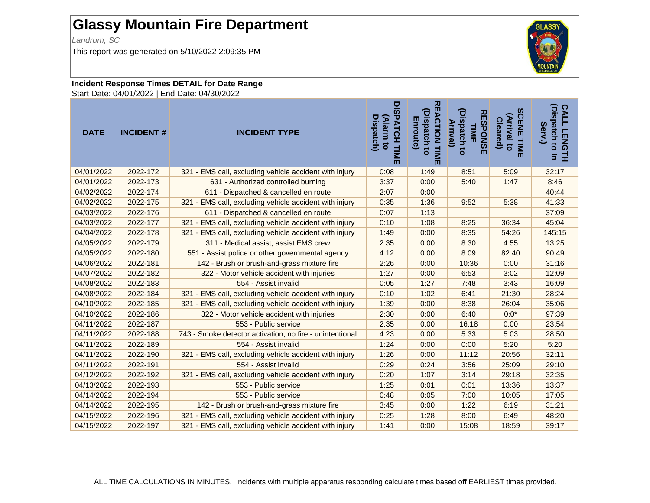## **Glassy Mountain Fire Department**

*Landrum, SC*

This report was generated on 5/10/2022 2:09:35 PM

## **Incident Response Times DETAIL for Date Range**

Start Date: 04/01/2022 | End Date: 04/30/2022

| <b>DATE</b> | <b>INCIDENT#</b> | <b>INCIDENT TYPE</b>                                     | DISPATCH TIM<br>(Alarm to<br><b>Dispatch)</b><br>而 | 观<br>EACTION TIME<br>(Dispatch to<br>Enroute) | (Dispatch to<br><b>RESPONSE</b><br><b>Arrival</b> )<br>TIME | <b>SCENE TIME</b><br>(Arrival to<br><b>Cleared</b> ) | (Dispatch to In<br><b>CALL</b><br>Serv.<br><b>LENGTH</b> |
|-------------|------------------|----------------------------------------------------------|----------------------------------------------------|-----------------------------------------------|-------------------------------------------------------------|------------------------------------------------------|----------------------------------------------------------|
| 04/01/2022  | 2022-172         | 321 - EMS call, excluding vehicle accident with injury   | 0:08                                               | 1:49                                          | 8:51                                                        | 5:09                                                 | 32:17                                                    |
| 04/01/2022  | 2022-173         | 631 - Authorized controlled burning                      | 3:37                                               | 0:00                                          | 5:40                                                        | 1:47                                                 | 8:46                                                     |
| 04/02/2022  | 2022-174         | 611 - Dispatched & cancelled en route                    | 2:07                                               | 0:00                                          |                                                             |                                                      | 40:44                                                    |
| 04/02/2022  | 2022-175         | 321 - EMS call, excluding vehicle accident with injury   | 0:35                                               | 1:36                                          | 9:52                                                        | 5:38                                                 | 41:33                                                    |
| 04/03/2022  | 2022-176         | 611 - Dispatched & cancelled en route                    | 0:07                                               | 1:13                                          |                                                             |                                                      | 37:09                                                    |
| 04/03/2022  | 2022-177         | 321 - EMS call, excluding vehicle accident with injury   | 0:10                                               | 1:08                                          | 8:25                                                        | 36:34                                                | 45:04                                                    |
| 04/04/2022  | 2022-178         | 321 - EMS call, excluding vehicle accident with injury   | 1:49                                               | 0:00                                          | 8:35                                                        | 54:26                                                | 145:15                                                   |
| 04/05/2022  | 2022-179         | 311 - Medical assist, assist EMS crew                    | 2:35                                               | 0:00                                          | 8:30                                                        | 4:55                                                 | 13:25                                                    |
| 04/05/2022  | 2022-180         | 551 - Assist police or other governmental agency         | 4:12                                               | 0:00                                          | 8:09                                                        | 82:40                                                | 90:49                                                    |
| 04/06/2022  | 2022-181         | 142 - Brush or brush-and-grass mixture fire              | 2:26                                               | 0:00                                          | 10:36                                                       | 0:00                                                 | 31:16                                                    |
| 04/07/2022  | 2022-182         | 322 - Motor vehicle accident with injuries               | 1:27                                               | 0:00                                          | 6:53                                                        | 3:02                                                 | 12:09                                                    |
| 04/08/2022  | 2022-183         | 554 - Assist invalid                                     | 0:05                                               | 1:27                                          | 7:48                                                        | 3:43                                                 | 16:09                                                    |
| 04/08/2022  | 2022-184         | 321 - EMS call, excluding vehicle accident with injury   | 0:10                                               | 1:02                                          | 6:41                                                        | 21:30                                                | 28:24                                                    |
| 04/10/2022  | 2022-185         | 321 - EMS call, excluding vehicle accident with injury   | 1:39                                               | 0:00                                          | 8:38                                                        | 26:04                                                | 35:06                                                    |
| 04/10/2022  | 2022-186         | 322 - Motor vehicle accident with injuries               | 2:30                                               | 0:00                                          | 6:40                                                        | $0:0^*$                                              | 97:39                                                    |
| 04/11/2022  | 2022-187         | 553 - Public service                                     | 2:35                                               | 0:00                                          | 16:18                                                       | 0:00                                                 | 23:54                                                    |
| 04/11/2022  | 2022-188         | 743 - Smoke detector activation, no fire - unintentional | 4:23                                               | 0:00                                          | 5:33                                                        | 5:03                                                 | 28:50                                                    |
| 04/11/2022  | 2022-189         | 554 - Assist invalid                                     | 1:24                                               | 0:00                                          | 0:00                                                        | 5:20                                                 | 5:20                                                     |
| 04/11/2022  | 2022-190         | 321 - EMS call, excluding vehicle accident with injury   | 1:26                                               | 0:00                                          | 11:12                                                       | 20:56                                                | 32:11                                                    |
| 04/11/2022  | 2022-191         | 554 - Assist invalid                                     | 0:29                                               | 0:24                                          | 3:56                                                        | 25:09                                                | 29:10                                                    |
| 04/12/2022  | 2022-192         | 321 - EMS call, excluding vehicle accident with injury   | 0:20                                               | 1:07                                          | 3:14                                                        | 29:18                                                | 32:35                                                    |
| 04/13/2022  | 2022-193         | 553 - Public service                                     | 1:25                                               | 0:01                                          | 0:01                                                        | 13:36                                                | 13:37                                                    |
| 04/14/2022  | 2022-194         | 553 - Public service                                     | 0:48                                               | 0:05                                          | 7:00                                                        | 10:05                                                | 17:05                                                    |
| 04/14/2022  | 2022-195         | 142 - Brush or brush-and-grass mixture fire              | 3:45                                               | 0:00                                          | 1:22                                                        | 6:19                                                 | 31:21                                                    |
| 04/15/2022  | 2022-196         | 321 - EMS call, excluding vehicle accident with injury   | 0:25                                               | 1:28                                          | 8:00                                                        | 6:49                                                 | 48:20                                                    |
| 04/15/2022  | 2022-197         | 321 - EMS call, excluding vehicle accident with injury   | 1:41                                               | 0:00                                          | 15:08                                                       | 18:59                                                | 39:17                                                    |